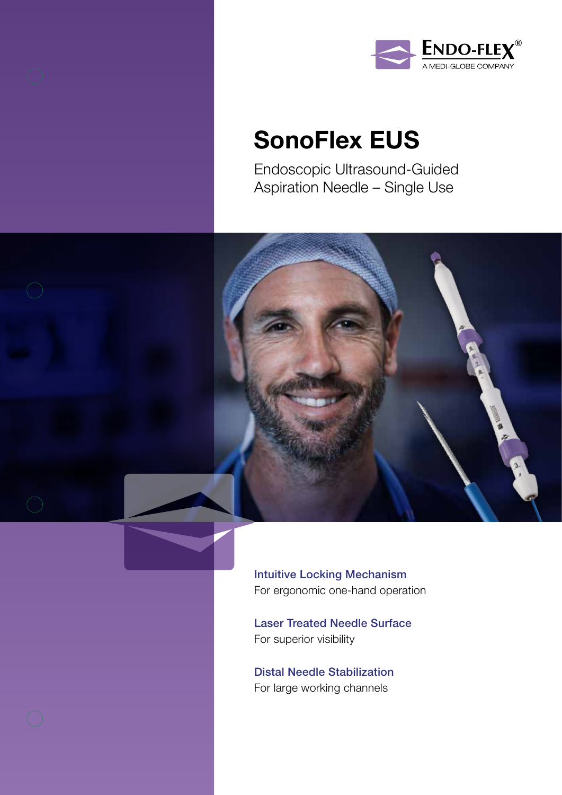



## SonoFlex EUS

Endoscopic Ultrasound-Guided Aspiration Needle – Single Use



Intuitive Locking Mechanism For ergonomic one-hand operation

Laser Treated Needle Surface For superior visibility

Distal Needle Stabilization For large working channels